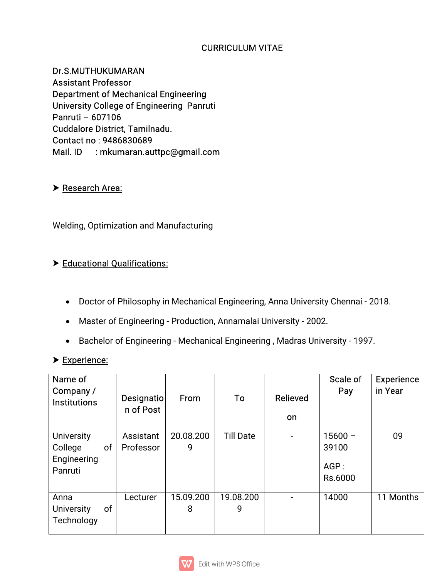## **CURRICULUM VITAE**

Dr.S.MUTHUKUMARAN **Assistant Professor** Department of Mechanical Engineering University College of Engineering Panruti Panruti–607106 Cuddalore District, Tamilnadu. Contact no: 9486830689 Mail. ID : mkumaran.auttpc@gmail.com

#### **> Research Area:**

Welding, Optimization and Manufacturing

#### > Educational Qualifications:

- Doctor of Philosophy in Mechanical Engineering, Anna University Chennai 2018.
- Master of Engineering Production, Annamalai University 2002.
- Bachelor of Engineering Mechanical Engineering, Madras University 1997.

#### Experience:

| Name of<br>Company/<br><b>Institutions</b>                   | Designatio<br>n of Post | From           | To               | Relieved<br>on           | Scale of<br>Pay                       | <b>Experience</b><br>in Year |
|--------------------------------------------------------------|-------------------------|----------------|------------------|--------------------------|---------------------------------------|------------------------------|
| <b>University</b><br>College<br>of<br>Engineering<br>Panruti | Assistant<br>Professor  | 20.08.200<br>9 | <b>Till Date</b> | $\blacksquare$           | $15600 -$<br>39100<br>AGP:<br>Rs.6000 | 09                           |
| Anna<br>of<br><b>University</b><br>Technology                | Lecturer                | 15.09.200<br>8 | 19.08.200<br>9   | $\overline{\phantom{0}}$ | 14000                                 | 11 Months                    |

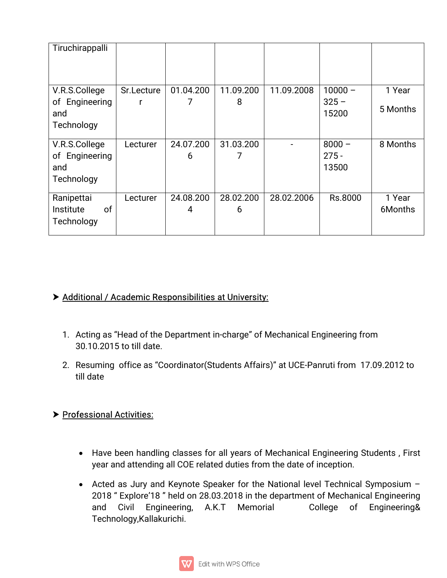| Tiruchirappalli |            |           |           |            |           |          |
|-----------------|------------|-----------|-----------|------------|-----------|----------|
|                 |            |           |           |            |           |          |
|                 |            |           |           |            |           |          |
| V.R.S.College   | Sr.Lecture | 01.04.200 | 11.09.200 | 11.09.2008 | $10000 -$ | 1 Year   |
| of Engineering  |            |           | 8         |            | $325 -$   |          |
| and             |            |           |           |            | 15200     | 5 Months |
| Technology      |            |           |           |            |           |          |
| V.R.S.College   | Lecturer   | 24.07.200 | 31.03.200 |            | $8000 -$  | 8 Months |
| of Engineering  |            | 6         | ᄀ         |            | $275 -$   |          |
| and             |            |           |           |            | 13500     |          |
| Technology      |            |           |           |            |           |          |
| Ranipettai      | Lecturer   | 24.08.200 | 28.02.200 | 28.02.2006 | Rs.8000   | 1 Year   |
| of<br>Institute |            | 4         | 6         |            |           | 6Months  |
| Technology      |            |           |           |            |           |          |
|                 |            |           |           |            |           |          |

## $\triangleright$  Additional / Academic Responsibilities at University:

- 1. Acting as "Head of the Department in-charge" of Mechanical Engineering from 30.10.2015 to till date.
- 2. Resuming office as "Coordinator(Students Affairs)" at UCE-Panruti from 17.09.2012 to till date

## Professional Activities:

- Have been handling classes for all years of Mechanical Engineering Students, First year and attending all COE related duties from the date of inception.
- Acted as Jury and Keynote Speaker for the National level Technical Symposium -2018 " Explore'18 " held on 28.03.2018 in the department of Mechanical Engineering and Civil Engineering, A.K.T Memorial College of Engineering& Technology,Kallakurichi.

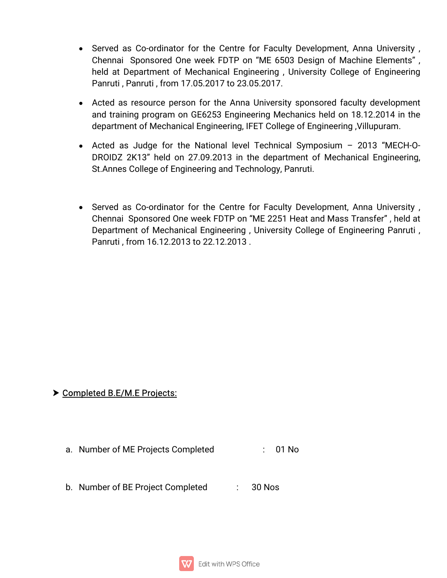- Served as Co-ordinator for the Centre for Faculty Development, Anna University, Chennai Sponsored One week FDTP on "ME 6503 Design of Machine Elements", held at Department of Mechanical Engineering, University College of Engineering Panruti, Panruti, from 17.05.2017 to 23.05.2017.
- Acted as resource person for the Anna University sponsored faculty development and training program on GE6253 Engineering Mechanics held on 18.12.2014 in the department of Mechanical Engineering, IFET College of Engineering, Villupuram.
- Acted as Judge for the National level Technical Symposium  $-$  2013 "MECH-O-DROIDZ 2K13" held on 27.09.2013 in the department of Mechanical Engineering, St. Annes College of Engineering and Technology, Panruti.
- Served as Co-ordinator for the Centre for Faculty Development, Anna University, Chennai Sponsored One week FDTP on "ME 2251 Heat and Mass Transfer", held at Department of Mechanical Engineering, University College of Engineering Panruti, Panruti, from 16.12.2013 to 22.12.2013.

## Completed B.E/M.E Projects:

- a. Number of ME Projects Completed : 01 No
- b. Number of BE Project Completed : 30 Nos

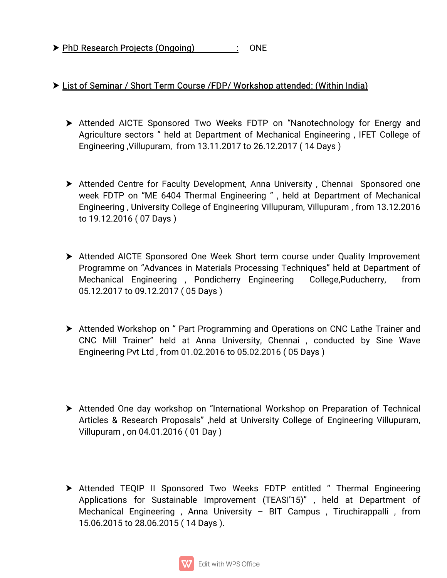▶ PhD Research Projects (Ongoing) : ONE

# Eist of Seminar / Short Term Course / FDP/ Workshop attended: (Within India)

- Attended AICTE Sponsored Two Weeks FDTP on "Nanotechnology for Energy and Agriculture sectors" held at Department of Mechanical Engineering, IFET College of Engineering, Villupuram, from 13.11.2017 to 26.12.2017 (14 Days)
- Attended Centre for Faculty Development, Anna University, Chennai Sponsored one week FDTP on "ME 6404 Thermal Engineering", held at Department of Mechanical Engineering, University College of Engineering Villupuram, Villupuram, from 13.12.2016 to19.12.2016(07Days)
- > Attended AICTE Sponsored One Week Short term course under Quality Improvement Programme on "Advances in Materials Processing Techniques" held at Department of Mechanical Engineering , Pondicherry Engineering College,Puducherry, from 05.12.2017 to 09.12.2017 (05 Days)
- Attended Workshop on " Part Programming and Operations on CNC Lathe Trainer and CNC Mill Trainer" held at Anna University, Chennai, conducted by Sine Wave Engineering Pvt Ltd, from 01.02.2016 to 05.02.2016 (05 Days)
- Attended One day workshop on "International Workshop on Preparation of Technical Articles & Research Proposals", held at University College of Engineering Villupuram, Villupuram, on 04.01.2016 (01 Day)
- > Attended TEQIP II Sponsored Two Weeks FDTP entitled " Thermal Engineering Applications for Sustainable Improvement (TEASI'15)", held at Department of Mechanical Engineering , Anna University – BIT Campus , Tiruchirappalli, from 15.06.2015 to 28.06.2015 (14 Days).

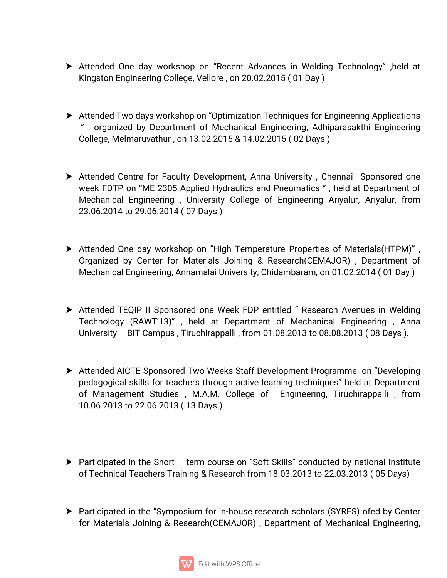- ▶ Attended One day workshop on "Recent Advances in Welding Technology", held at Kingston Engineering College, Vellore, on 20.02.2015 (01 Day)
- Attended Two days workshop on "Optimization Techniques for Engineering Applications" ", organized by Department of Mechanical Engineering, Adhiparasakthi Engineering College,Melmaruvathur,on13.02.2015&14.02.2015(02Days)
- Attended Centre for Faculty Development, Anna University, Chennai Sponsored one week FDTP on "ME 2305 Applied Hydraulics and Pneumatics", held at Department of Mechanical Engineering, University College of Engineering Ariyalur, Ariyalur, from 23.06.2014 to 29.06.2014 (07 Days)
- Attended One day workshop on "High Temperature Properties of Materials(HTPM)", Organized by Center for Materials Joining & Research(CEMAJOR), Department of Mechanical Engineering, Annamalai University, Chidambaram, on 01.02.2014 (01 Day)
- Attended TEQIP II Sponsored one Week FDP entitled " Research Avenues in Welding Technology (RAWT'13)", held at Department of Mechanical Engineering, Anna University – BIT Campus, Tiruchirappalli, from 01.08.2013 to 08.08.2013 (08 Days).
- Attended AICTE Sponsored Two Weeks Staff Development Programme on "Developing" pedagogical skills for teachers through active learning techniques" held at Department of Management Studies, M.A.M. College of Engineering, Tiruchirappalli, from 10.06.2013to22.06.2013(13Days)
- Participated in the Short term course on "Soft Skills" conducted by national Institute of Technical Teachers Training & Research from 18.03.2013 to 22.03.2013 (05 Days)
- Participated in the "Symposium for in-house research scholars (SYRES) ofed by Center for Materials Joining & Research(CEMAJOR), Department of Mechanical Engineering,

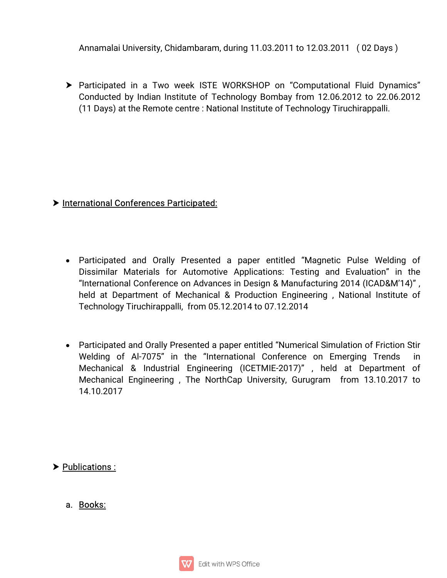Annamalai University, Chidambaram, during 11.03.2011 to 12.03.2011 (02 Days)

Participated in a Two week ISTE WORKSHOP on "Computational Fluid Dynamics" Conducted by Indian Institute of Technology Bombay from 12.06.2012 to 22.06.2012 (11 Days) at the Remote centre: National Institute of Technology Tiruchirappalli.

## International Conferences Participated:

- Participated and Orally Presented a paper entitled "Magnetic Pulse Welding of Dissimilar Materials for Automotive Applications: Testing and Evaluation" in the "International Conference on Advances in Design & Manufacturing 2014 (ICAD&M'14)", held at Department of Mechanical & Production Engineering, National Institute of Technology Tiruchirappalli, from 05.12.2014 to 07.12.2014
- Participated and Orally Presented a paper entitled "Numerical Simulation of Friction Stir Welding of Al-7075" in the "International Conference on Emerging Trends in Mechanical & Industrial Engineering (ICETMIE-2017)", held at Department of Mechanical Engineering, The NorthCap University, Gurugram from 13.10.2017 to 14.10.2017

# > Publications:

a.Books: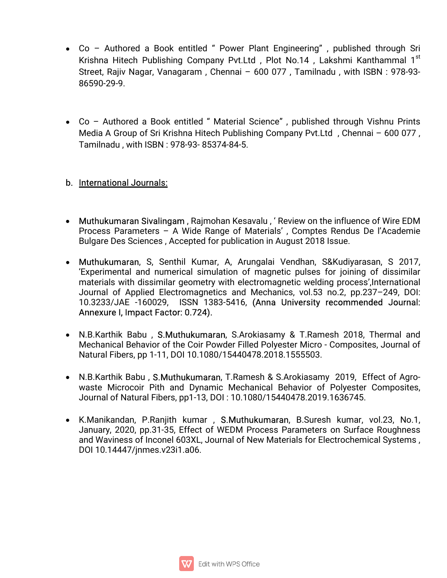- Co Authored a Book entitled " Power Plant Engineering", published through Sri Krishna Hitech Publishing Company Pvt.Ltd, Plot No.14, Lakshmi Kanthammal 1<sup>st</sup> st Street, Rajiv Nagar, Vanagaram, Chennai - 600 077, Tamilnadu, with ISBN: 978-93-86590-29-9.
- Co Authored a Book entitled "Material Science", published through Vishnu Prints Media A Group of Sri Krishna Hitech Publishing Company Pvt.Ltd, Chennai - 600 077, Tamilnadu, with ISBN: 978-93-85374-84-5.

#### b. International Journals:

- Muthukumaran Sivalingam, Rajmohan Kesavalu, 'Review on the influence of Wire EDM Process Parameters – A Wide Range of Materials', Comptes Rendus De l'Academie Bulgare Des Sciences, Accepted for publication in August 2018 Issue.
- Muthukumaran, S, Senthil Kumar, A, Arungalai Vendhan, S&Kudiyarasan, S 2017, 'Experimental and numerical simulation of magnetic pulses for joining of dissimilar materials with dissimilar geometry with electromagnetic welding process', International Journal of Applied Electromagnetics and Mechanics, vol.53 no.2, pp.237-249, DOI: 10.3233/JAE -160029, ISSN 1383-5416, (Anna University recommended Journal: Annexure I, Impact Factor: 0.724).
- N.B.Karthik Babu, S.Muthukumaran, S.Arokiasamy & T.Ramesh 2018, Thermal and Mechanical Behavior of the Coir Powder Filled Polyester Micro - Composites, Journal of Natural Fibers, pp 1-11, DOI 10.1080/15440478.2018.1555503.
- N.B.Karthik Babu, S.Muthukumaran, T.Ramesh & S.Arokiasamy 2019, Effect of Agrowaste Microcoir Pith and Dynamic Mechanical Behavior of Polyester Composites, Journal of Natural Fibers, pp1-13, DOI: 10.1080/15440478.2019.1636745.
- K.Manikandan, P.Ranjith kumar, S.Muthukumaran, B.Suresh kumar, vol.23, No.1, January, 2020, pp.31-35, Effect of WEDM Process Parameters on Surface Roughness and Waviness of Inconel 603XL, Journal of New Materials for Electrochemical Systems, DOI10.14447/jnmes.v23i1.a06.